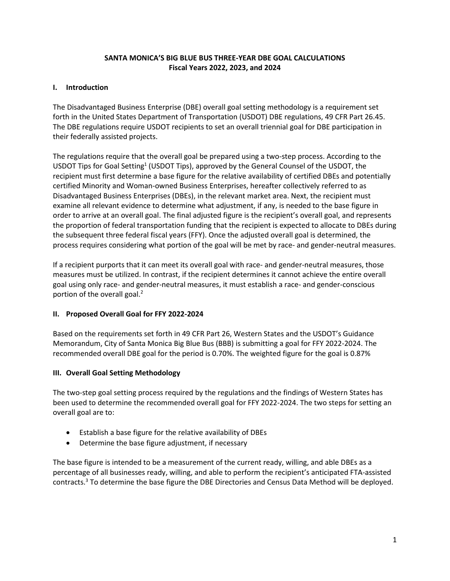### **SANTA MONICA'S BIG BLUE BUS THREE-YEAR DBE GOAL CALCULATIONS Fiscal Years 2022, 2023, and 2024**

#### **I. Introduction**

The Disadvantaged Business Enterprise (DBE) overall goal setting methodology is a requirement set forth in the United States Department of Transportation (USDOT) DBE regulations, 49 CFR Part 26.45. The DBE regulations require USDOT recipients to set an overall triennial goal for DBE participation in their federally assisted projects.

The regulations require that the overall goal be prepared using a two-step process. According to the USDOT Tips for Goal Setting<sup>1</sup> (USDOT Tips), approved by the General Counsel of the USDOT, the recipient must first determine a base figure for the relative availability of certified DBEs and potentially certified Minority and Woman-owned Business Enterprises, hereafter collectively referred to as Disadvantaged Business Enterprises (DBEs), in the relevant market area. Next, the recipient must examine all relevant evidence to determine what adjustment, if any, is needed to the base figure in order to arrive at an overall goal. The final adjusted figure is the recipient's overall goal, and represents the proportion of federal transportation funding that the recipient is expected to allocate to DBEs during the subsequent three federal fiscal years (FFY). Once the adjusted overall goal is determined, the process requires considering what portion of the goal will be met by race- and gender-neutral measures.

If a recipient purports that it can meet its overall goal with race- and gender-neutral measures, those measures must be utilized. In contrast, if the recipient determines it cannot achieve the entire overall goal using only race- and gender-neutral measures, it must establish a race- and gender-conscious portion of the overall goal. $<sup>2</sup>$ </sup>

## **II. Proposed Overall Goal for FFY 2022-2024**

Based on the requirements set forth in 49 CFR Part 26, Western States and the USDOT's Guidance Memorandum, City of Santa Monica Big Blue Bus (BBB) is submitting a goal for FFY 2022-2024. The recommended overall DBE goal for the period is 0.70%. The weighted figure for the goal is 0.87%

## **III. Overall Goal Setting Methodology**

The two-step goal setting process required by the regulations and the findings of Western States has been used to determine the recommended overall goal for FFY 2022-2024. The two steps for setting an overall goal are to:

- Establish a base figure for the relative availability of DBEs
- Determine the base figure adjustment, if necessary

The base figure is intended to be a measurement of the current ready, willing, and able DBEs as a percentage of all businesses ready, willing, and able to perform the recipient's anticipated FTA-assisted contracts.3 To determine the base figure the DBE Directories and Census Data Method will be deployed.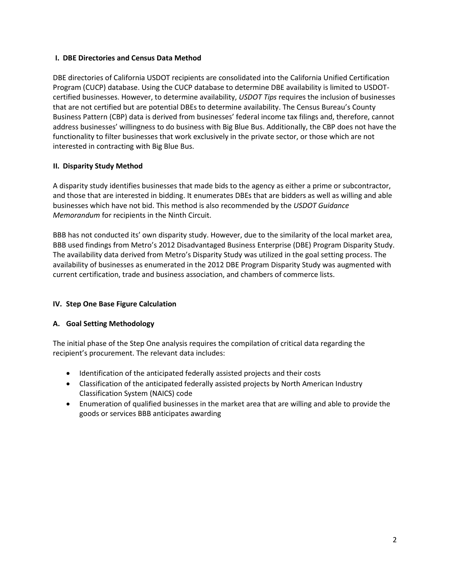#### **I. DBE Directories and Census Data Method**

DBE directories of California USDOT recipients are consolidated into the California Unified Certification Program (CUCP) database. Using the CUCP database to determine DBE availability is limited to USDOTcertified businesses. However, to determine availability, *USDOT Tips* requires the inclusion of businesses that are not certified but are potential DBEs to determine availability. The Census Bureau's County Business Pattern (CBP) data is derived from businesses' federal income tax filings and, therefore, cannot address businesses' willingness to do business with Big Blue Bus. Additionally, the CBP does not have the functionality to filter businesses that work exclusively in the private sector, or those which are not interested in contracting with Big Blue Bus.

## **II. Disparity Study Method**

A disparity study identifies businesses that made bids to the agency as either a prime or subcontractor, and those that are interested in bidding. It enumerates DBEs that are bidders as well as willing and able businesses which have not bid. This method is also recommended by the *USDOT Guidance Memorandum* for recipients in the Ninth Circuit.

BBB has not conducted its' own disparity study. However, due to the similarity of the local market area, BBB used findings from Metro's 2012 Disadvantaged Business Enterprise (DBE) Program Disparity Study. The availability data derived from Metro's Disparity Study was utilized in the goal setting process. The availability of businesses as enumerated in the 2012 DBE Program Disparity Study was augmented with current certification, trade and business association, and chambers of commerce lists.

## **IV. Step One Base Figure Calculation**

## **A. Goal Setting Methodology**

The initial phase of the Step One analysis requires the compilation of critical data regarding the recipient's procurement. The relevant data includes:

- Identification of the anticipated federally assisted projects and their costs
- Classification of the anticipated federally assisted projects by North American Industry Classification System (NAICS) code
- Enumeration of qualified businesses in the market area that are willing and able to provide the goods or services BBB anticipates awarding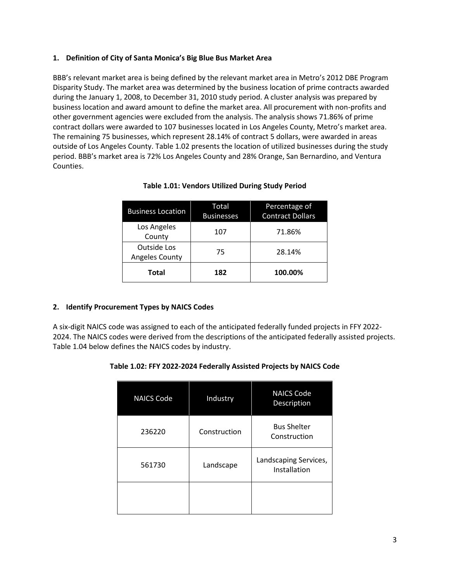#### **1. Definition of City of Santa Monica's Big Blue Bus Market Area**

BBB's relevant market area is being defined by the relevant market area in Metro's 2012 DBE Program Disparity Study. The market area was determined by the business location of prime contracts awarded during the January 1, 2008, to December 31, 2010 study period. A cluster analysis was prepared by business location and award amount to define the market area. All procurement with non-profits and other government agencies were excluded from the analysis. The analysis shows 71.86% of prime contract dollars were awarded to 107 businesses located in Los Angeles County, Metro's market area. The remaining 75 businesses, which represent 28.14% of contract 5 dollars, were awarded in areas outside of Los Angeles County. Table 1.02 presents the location of utilized businesses during the study period. BBB's market area is 72% Los Angeles County and 28% Orange, San Bernardino, and Ventura Counties.

| <b>Business Location</b>             | Total<br><b>Businesses</b> | Percentage of<br><b>Contract Dollars</b> |
|--------------------------------------|----------------------------|------------------------------------------|
| Los Angeles<br>County                | 107                        | 71.86%                                   |
| Outside Los<br><b>Angeles County</b> | 75                         | 28.14%                                   |
| Total                                | 182                        | 100.00%                                  |

## **Table 1.01: Vendors Utilized During Study Period**

## **2. Identify Procurement Types by NAICS Codes**

A six-digit NAICS code was assigned to each of the anticipated federally funded projects in FFY 2022- 2024. The NAICS codes were derived from the descriptions of the anticipated federally assisted projects. Table 1.04 below defines the NAICS codes by industry.

| <b>NAICS Code</b> | Industry     | <b>NAICS Code</b><br>Description      |
|-------------------|--------------|---------------------------------------|
| 236220            | Construction | <b>Bus Shelter</b><br>Construction    |
| 561730            | Landscape    | Landscaping Services,<br>Installation |
|                   |              |                                       |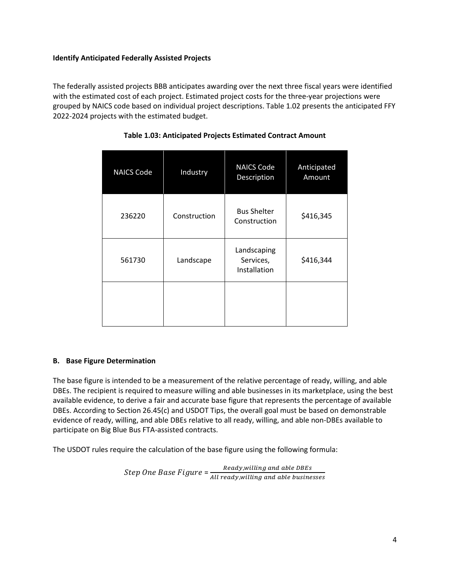### **Identify Anticipated Federally Assisted Projects**

The federally assisted projects BBB anticipates awarding over the next three fiscal years were identified with the estimated cost of each project. Estimated project costs for the three-year projections were grouped by NAICS code based on individual project descriptions. Table 1.02 presents the anticipated FFY 2022-2024 projects with the estimated budget.

| <b>NAICS Code</b> | Industry     | <b>NAICS Code</b><br>Description         | Anticipated<br>Amount |
|-------------------|--------------|------------------------------------------|-----------------------|
| 236220            | Construction | <b>Bus Shelter</b><br>Construction       | \$416,345             |
| 561730            | Landscape    | Landscaping<br>Services,<br>Installation | \$416,344             |
|                   |              |                                          |                       |

# **Table 1.03: Anticipated Projects Estimated Contract Amount**

## **B. Base Figure Determination**

The base figure is intended to be a measurement of the relative percentage of ready, willing, and able DBEs. The recipient is required to measure willing and able businesses in its marketplace, using the best available evidence, to derive a fair and accurate base figure that represents the percentage of available DBEs. According to Section 26.45(c) and USDOT Tips, the overall goal must be based on demonstrable evidence of ready, willing, and able DBEs relative to all ready, willing, and able non-DBEs available to participate on Big Blue Bus FTA-assisted contracts.

The USDOT rules require the calculation of the base figure using the following formula:

Step One Base Figure = <u>Ready,willing and able DBEs</u><br>All ready,willing and able busine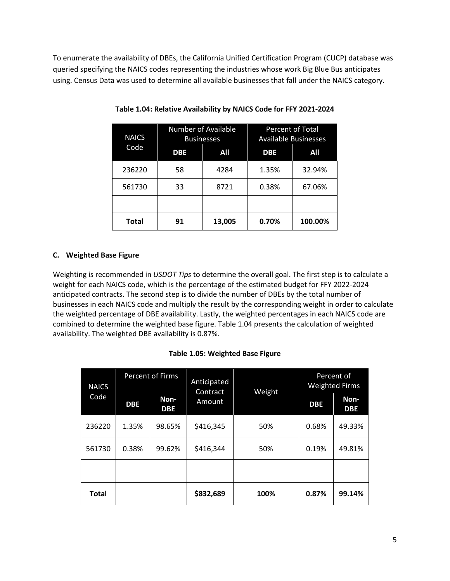To enumerate the availability of DBEs, the California Unified Certification Program (CUCP) database was queried specifying the NAICS codes representing the industries whose work Big Blue Bus anticipates using. Census Data was used to determine all available businesses that fall under the NAICS category.

| <b>NAICS</b> | <b>Number of Available</b><br><b>Businesses</b> |        | Percent of Total<br><b>Available Businesses</b> |         |
|--------------|-------------------------------------------------|--------|-------------------------------------------------|---------|
| Code         | <b>DBE</b>                                      | All    | <b>DBE</b>                                      | All     |
| 236220       | 58                                              | 4284   | 1.35%                                           | 32.94%  |
| 561730       | 33                                              | 8721   | 0.38%                                           | 67.06%  |
|              |                                                 |        |                                                 |         |
| Total        | 91                                              | 13,005 | 0.70%                                           | 100.00% |

**Table 1.04: Relative Availability by NAICS Code for FFY 2021-2024**

## **C. Weighted Base Figure**

Weighting is recommended in *USDOT Tips* to determine the overall goal. The first step is to calculate a weight for each NAICS code, which is the percentage of the estimated budget for FFY 2022-2024 anticipated contracts. The second step is to divide the number of DBEs by the total number of businesses in each NAICS code and multiply the result by the corresponding weight in order to calculate the weighted percentage of DBE availability. Lastly, the weighted percentages in each NAICS code are combined to determine the weighted base figure. Table 1.04 presents the calculation of weighted availability. The weighted DBE availability is 0.87%.

## **Table 1.05: Weighted Base Figure**

| <b>NAICS</b> |            | <b>Percent of Firms</b> | Anticipated<br>Weight<br>Contract<br>Amount |      | Percent of<br><b>Weighted Firms</b> |                    |
|--------------|------------|-------------------------|---------------------------------------------|------|-------------------------------------|--------------------|
| Code         | <b>DBE</b> | Non-<br><b>DBE</b>      |                                             |      | <b>DBE</b>                          | Non-<br><b>DBE</b> |
| 236220       | 1.35%      | 98.65%                  | \$416,345                                   | 50%  | 0.68%                               | 49.33%             |
| 561730       | 0.38%      | 99.62%                  | \$416,344                                   | 50%  | 0.19%                               | 49.81%             |
|              |            |                         |                                             |      |                                     |                    |
| Total        |            |                         | \$832,689                                   | 100% | 0.87%                               | 99.14%             |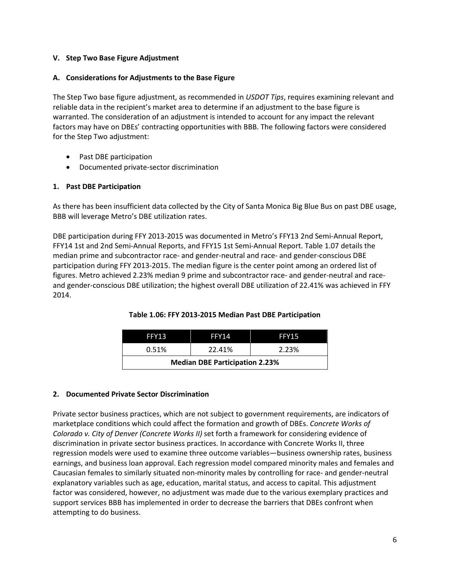#### **V. Step Two Base Figure Adjustment**

#### **A. Considerations for Adjustments to the Base Figure**

The Step Two base figure adjustment, as recommended in *USDOT Tips*, requires examining relevant and reliable data in the recipient's market area to determine if an adjustment to the base figure is warranted. The consideration of an adjustment is intended to account for any impact the relevant factors may have on DBEs' contracting opportunities with BBB. The following factors were considered for the Step Two adjustment:

- Past DBE participation
- Documented private-sector discrimination

#### **1. Past DBE Participation**

As there has been insufficient data collected by the City of Santa Monica Big Blue Bus on past DBE usage, BBB will leverage Metro's DBE utilization rates.

DBE participation during FFY 2013-2015 was documented in Metro's FFY13 2nd Semi-Annual Report, FFY14 1st and 2nd Semi-Annual Reports, and FFY15 1st Semi-Annual Report. Table 1.07 details the median prime and subcontractor race- and gender-neutral and race- and gender-conscious DBE participation during FFY 2013-2015. The median figure is the center point among an ordered list of figures. Metro achieved 2.23% median 9 prime and subcontractor race- and gender-neutral and raceand gender-conscious DBE utilization; the highest overall DBE utilization of 22.41% was achieved in FFY 2014.

| FFY13                                 | FFY14  | FFY15 |  |  |
|---------------------------------------|--------|-------|--|--|
| 0.51%                                 | 22.41% | 2.23% |  |  |
| <b>Median DBE Participation 2.23%</b> |        |       |  |  |

## **Table 1.06: FFY 2013-2015 Median Past DBE Participation**

#### **2. Documented Private Sector Discrimination**

Private sector business practices, which are not subject to government requirements, are indicators of marketplace conditions which could affect the formation and growth of DBEs. *Concrete Works of Colorado v. City of Denver (Concrete Works II)* set forth a framework for considering evidence of discrimination in private sector business practices. In accordance with Concrete Works II, three regression models were used to examine three outcome variables—business ownership rates, business earnings, and business loan approval. Each regression model compared minority males and females and Caucasian females to similarly situated non-minority males by controlling for race- and gender-neutral explanatory variables such as age, education, marital status, and access to capital. This adjustment factor was considered, however, no adjustment was made due to the various exemplary practices and support services BBB has implemented in order to decrease the barriers that DBEs confront when attempting to do business.